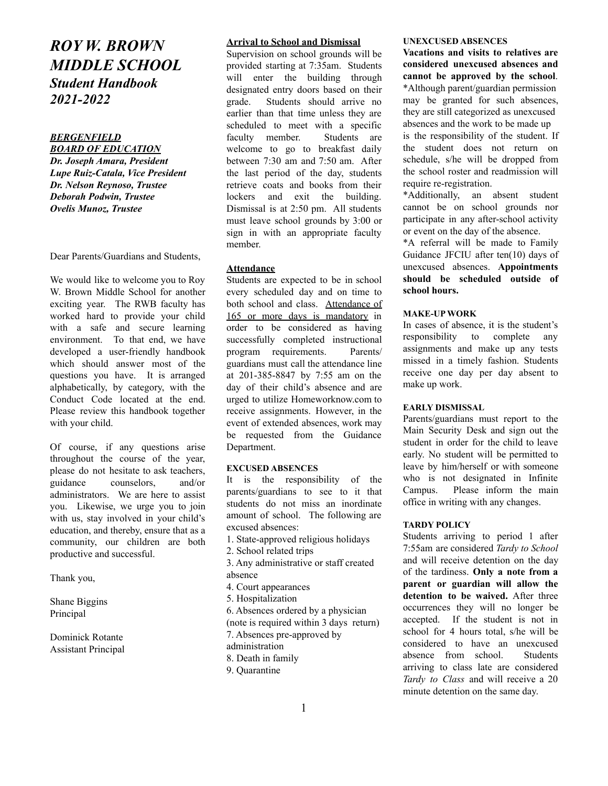# *ROY W. BROWN MIDDLE SCHOOL Student Handbook 2021-2022*

## *BERGENFIELD*

*BOARD OF EDUCATION Dr. Joseph Amara, President Lupe Ruiz-Catala, Vice President Dr. Nelson Reynoso, Trustee Deborah Podwin, Trustee Ovelis Munoz, Trustee*

Dear Parents/Guardians and Students,

We would like to welcome you to Roy W. Brown Middle School for another exciting year. The RWB faculty has worked hard to provide your child with a safe and secure learning environment. To that end, we have developed a user-friendly handbook which should answer most of the questions you have. It is arranged alphabetically, by category, with the Conduct Code located at the end. Please review this handbook together with your child.

Of course, if any questions arise throughout the course of the year, please do not hesitate to ask teachers, guidance counselors, and/or administrators. We are here to assist you. Likewise, we urge you to join with us, stay involved in your child's education, and thereby, ensure that as a community, our children are both productive and successful.

Thank you,

Shane Biggins Principal

Dominick Rotante Assistant Principal

#### **Arrival to School and Dismissal**

Supervision on school grounds will be provided starting at 7:35am. Students will enter the building through designated entry doors based on their grade. Students should arrive no earlier than that time unless they are scheduled to meet with a specific faculty member. Students are welcome to go to breakfast daily between 7:30 am and 7:50 am. After the last period of the day, students retrieve coats and books from their lockers and exit the building. Dismissal is at 2:50 pm. All students must leave school grounds by 3:00 or sign in with an appropriate faculty member.

#### **Attendance**

Students are expected to be in school every scheduled day and on time to both school and class. Attendance of 165 or more days is mandatory in order to be considered as having successfully completed instructional program requirements. Parents/ guardians must call the attendance line at 201-385-8847 by 7:55 am on the day of their child's absence and are urged to utilize Homeworknow.com to receive assignments. However, in the event of extended absences, work may be requested from the Guidance Department.

#### **EXCUSED ABSENCES**

It is the responsibility of the parents/guardians to see to it that students do not miss an inordinate amount of school. The following are excused absences:

- 1. State-approved religious holidays
- 2. School related trips

3. Any administrative or staff created absence

- 4. Court appearances
- 5. Hospitalization
- 6. Absences ordered by a physician
- (note is required within 3 days return)
- 7. Absences pre-approved by
- administration
- 8. Death in family
- 9. Quarantine

## **UNEXCUSED ABSENCES**

**Vacations and visits to relatives are considered unexcused absences and cannot be approved by the school**. \*Although parent/guardian permission may be granted for such absences, they are still categorized as unexcused absences and the work to be made up is the responsibility of the student. If the student does not return on schedule, s/he will be dropped from the school roster and readmission will require re-registration.

\*Additionally, an absent student cannot be on school grounds nor participate in any after-school activity or event on the day of the absence.

\*A referral will be made to Family Guidance JFCIU after ten(10) days of unexcused absences. **Appointments should be scheduled outside of school hours.**

#### **MAKE-UP WORK**

In cases of absence, it is the student's responsibility to complete any assignments and make up any tests missed in a timely fashion. Students receive one day per day absent to make up work.

#### **EARLY DISMISSAL**

Parents/guardians must report to the Main Security Desk and sign out the student in order for the child to leave early. No student will be permitted to leave by him/herself or with someone who is not designated in Infinite Campus. Please inform the main office in writing with any changes.

#### **TARDY POLICY**

Students arriving to period 1 after 7:55am are considered *Tardy to School* and will receive detention on the day of the tardiness. **Only a note from a parent or guardian will allow the detention to be waived.** After three occurrences they will no longer be accepted. If the student is not in school for 4 hours total, s/he will be considered to have an unexcused absence from school. Students arriving to class late are considered *Tardy to Class* and will receive a 20 minute detention on the same day.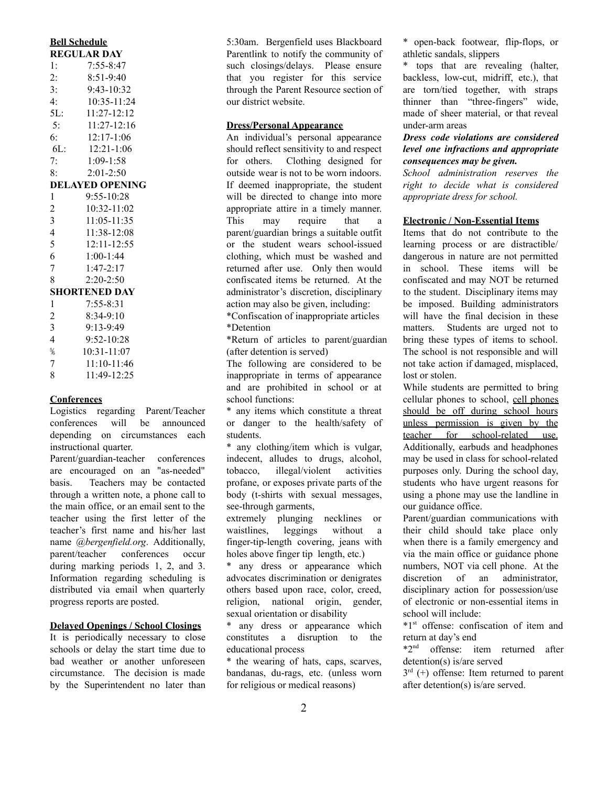| <u>Den seneguie</u>      |                 |  |  |  |
|--------------------------|-----------------|--|--|--|
| <b>REGULAR DAY</b>       |                 |  |  |  |
| 1:                       | $7:55 - 8:47$   |  |  |  |
| 2:                       | $8:51-9:40$     |  |  |  |
| 3:                       | $9.43 - 10.32$  |  |  |  |
| 4:                       | 10:35-11:24     |  |  |  |
| 5L:                      | $11:27 - 12:12$ |  |  |  |
| 5:                       | $11:27 - 12:16$ |  |  |  |
| 6:                       | $12:17-1:06$    |  |  |  |
| $6L$ :                   | $12:21-1:06$    |  |  |  |
| 7:                       | $1:09 - 1:58$   |  |  |  |
| 8:                       | $2:01-2:50$     |  |  |  |
| <b>DELAYED OPENING</b>   |                 |  |  |  |
| 1                        | $9:55 - 10:28$  |  |  |  |
| $\overline{c}$           | $10:32 - 11:02$ |  |  |  |
| 3                        | $11:05 - 11:35$ |  |  |  |
| $\overline{4}$           | 11:38-12:08     |  |  |  |
| 5                        | $12:11 - 12:55$ |  |  |  |
| 6                        | $1:00-1:44$     |  |  |  |
| 7                        | $1:47 - 2:17$   |  |  |  |
| 8                        | $2:20-2:50$     |  |  |  |
| SHORTENED DAY            |                 |  |  |  |
| 1                        | $7:55 - 8:31$   |  |  |  |
| 2                        | $8:34-9:10$     |  |  |  |
| 3                        | $9:13-9:49$     |  |  |  |
| $\overline{\mathcal{L}}$ | 9:52-10:28      |  |  |  |
| $\frac{5}{6}$            | 10:31-11:07     |  |  |  |
| 7                        | 11:10-11:46     |  |  |  |
| 8                        | $11:49-12:25$   |  |  |  |

**Bell Schedule**

#### **Conferences**

Logistics regarding Parent/Teacher conferences will be announced depending on circumstances each instructional quarter.

Parent/guardian-teacher conferences are encouraged on an "as-needed" basis. Teachers may be contacted through a written note, a phone call to the main office, or an email sent to the teacher using the first letter of the teacher's first name and his/her last name *@bergenfield.org*. Additionally, parent/teacher conferences occur during marking periods 1, 2, and 3. Information regarding scheduling is distributed via email when quarterly progress reports are posted.

#### **Delayed Openings / School Closings**

It is periodically necessary to close schools or delay the start time due to bad weather or another unforeseen circumstance. The decision is made by the Superintendent no later than 5:30am. Bergenfield uses Blackboard Parentlink to notify the community of such closings/delays. Please ensure that you register for this service through the Parent Resource section of our district website.

## **Dress/Personal Appearance**

An individual's personal appearance should reflect sensitivity to and respect for others. Clothing designed for outside wear is not to be worn indoors. If deemed inappropriate, the student will be directed to change into more appropriate attire in a timely manner. This may require that a parent/guardian brings a suitable outfit or the student wears school-issued clothing, which must be washed and returned after use. Only then would confiscated items be returned. At the administrator's discretion, disciplinary action may also be given, including:

\*Confiscation of inappropriate articles \*Detention

\*Return of articles to parent/guardian (after detention is served)

The following are considered to be inappropriate in terms of appearance and are prohibited in school or at school functions:

\* any items which constitute a threat or danger to the health/safety of students.

\* any clothing/item which is vulgar, indecent, alludes to drugs, alcohol, tobacco, illegal/violent activities profane, or exposes private parts of the body (t-shirts with sexual messages, see-through garments,

extremely plunging necklines or waistlines, leggings without a finger-tip-length covering, jeans with holes above finger tip length, etc.)

\* any dress or appearance which advocates discrimination or denigrates others based upon race, color, creed, religion, national origin, gender, sexual orientation or disability

\* any dress or appearance which constitutes a disruption to the educational process

\* the wearing of hats, caps, scarves, bandanas, du-rags, etc. (unless worn for religious or medical reasons)

\* open-back footwear, flip-flops, or athletic sandals, slippers

\* tops that are revealing (halter, backless, low-cut, midriff, etc.), that are torn/tied together, with straps thinner than "three-fingers" wide, made of sheer material, or that reveal under-arm areas

## *Dress code violations are considered level one infractions and appropriate consequences may be given.*

*School administration reserves the right to decide what is considered appropriate dress for school.*

## **Electronic / Non-Essential Items**

Items that do not contribute to the learning process or are distractible/ dangerous in nature are not permitted in school. These items will be confiscated and may NOT be returned to the student. Disciplinary items may be imposed. Building administrators will have the final decision in these matters. Students are urged not to bring these types of items to school. The school is not responsible and will not take action if damaged, misplaced, lost or stolen.

While students are permitted to bring cellular phones to school, cell phones should be off during school hours unless permission is given by the teacher for school-related use. Additionally, earbuds and headphones may be used in class for school-related purposes only. During the school day, students who have urgent reasons for using a phone may use the landline in our guidance office.

Parent/guardian communications with their child should take place only when there is a family emergency and via the main office or guidance phone numbers, NOT via cell phone. At the discretion of an administrator, disciplinary action for possession/use of electronic or non-essential items in school will include:

\*1 st offense: confiscation of item and return at day's end

\*2 nd offense: item returned after detention(s) is/are served

 $3<sup>rd</sup>$  (+) offense: Item returned to parent after detention(s) is/are served.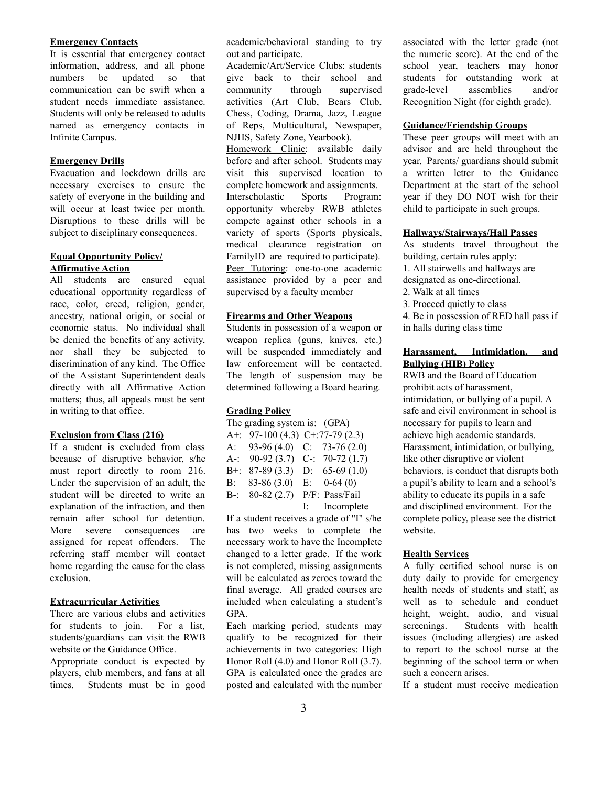#### **Emergency Contacts**

It is essential that emergency contact information, address, and all phone numbers be updated so that communication can be swift when a student needs immediate assistance. Students will only be released to adults named as emergency contacts in Infinite Campus.

## **Emergency Drills**

Evacuation and lockdown drills are necessary exercises to ensure the safety of everyone in the building and will occur at least twice per month. Disruptions to these drills will be subject to disciplinary consequences.

## **Equal Opportunity Policy/ Affirmative Action**

All students are ensured equal educational opportunity regardless of race, color, creed, religion, gender, ancestry, national origin, or social or economic status. No individual shall be denied the benefits of any activity, nor shall they be subjected to discrimination of any kind. The Office of the Assistant Superintendent deals directly with all Affirmative Action matters; thus, all appeals must be sent in writing to that office.

#### **Exclusion from Class (216)**

If a student is excluded from class because of disruptive behavior, s/he must report directly to room 216. Under the supervision of an adult, the student will be directed to write an explanation of the infraction, and then remain after school for detention. More severe consequences are assigned for repeat offenders. The referring staff member will contact home regarding the cause for the class exclusion.

## **Extracurricular Activities**

There are various clubs and activities for students to join. For a list, students/guardians can visit the RWB website or the Guidance Office.

Appropriate conduct is expected by players, club members, and fans at all times. Students must be in good academic/behavioral standing to try out and participate.

Academic/Art/Service Clubs: students give back to their school and community through supervised activities (Art Club, Bears Club, Chess, Coding, Drama, Jazz, League of Reps, Multicultural, Newspaper, NJHS, Safety Zone, Yearbook). Homework Clinic: available daily before and after school. Students may visit this supervised location to complete homework and assignments. Interscholastic Sports Program: opportunity whereby RWB athletes

compete against other schools in a variety of sports (Sports physicals, medical clearance registration on FamilyID are required to participate). Peer Tutoring: one-to-one academic assistance provided by a peer and supervised by a faculty member

## **Firearms and Other Weapons**

Students in possession of a weapon or weapon replica (guns, knives, etc.) will be suspended immediately and law enforcement will be contacted. The length of suspension may be determined following a Board hearing.

#### **Grading Policy**

| The grading system is: (GPA) |                 |  |                                   |  |
|------------------------------|-----------------|--|-----------------------------------|--|
|                              |                 |  | A+: $97-100(4.3)$ C+:77-79 (2.3)  |  |
|                              |                 |  | A: $93-96(4.0)$ C: $73-76(2.0)$   |  |
|                              |                 |  | A-: $90-92$ (3.7) C-: 70-72 (1.7) |  |
| $B+:=$                       | $87-89(3.3)$    |  | D: $65-69(1.0)$                   |  |
|                              | B: $83-86(3.0)$ |  | E: $0-64(0)$                      |  |
|                              |                 |  | B-: 80-82 (2.7) P/F: Pass/Fail    |  |
|                              |                 |  | I: Incomplete                     |  |

If a student receives a grade of "I" s/he has two weeks to complete the necessary work to have the Incomplete changed to a letter grade. If the work is not completed, missing assignments will be calculated as zeroes toward the final average. All graded courses are included when calculating a student's GPA.

Each marking period, students may qualify to be recognized for their achievements in two categories: High Honor Roll (4.0) and Honor Roll (3.7). GPA is calculated once the grades are posted and calculated with the number

associated with the letter grade (not the numeric score). At the end of the school year, teachers may honor students for outstanding work at grade-level assemblies and/or Recognition Night (for eighth grade).

## **Guidance/Friendship Groups**

These peer groups will meet with an advisor and are held throughout the year. Parents/ guardians should submit a written letter to the Guidance Department at the start of the school year if they DO NOT wish for their child to participate in such groups.

#### **Hallways/Stairways/Hall Passes**

As students travel throughout the building, certain rules apply:

1. All stairwells and hallways are

designated as one-directional.

- 2. Walk at all times
- 3. Proceed quietly to class

4. Be in possession of RED hall pass if in halls during class time

## **Harassment, Intimidation, and Bullying (HIB) Policy**

RWB and the Board of Education prohibit acts of harassment, intimidation, or bullying of a pupil. A safe and civil environment in school is necessary for pupils to learn and achieve high academic standards. Harassment, intimidation, or bullying, like other disruptive or violent behaviors, is conduct that disrupts both a pupil's ability to learn and a school's ability to educate its pupils in a safe and disciplined environment. For the complete policy, please see the district website.

#### **Health Services**

A fully certified school nurse is on duty daily to provide for emergency health needs of students and staff, as well as to schedule and conduct height, weight, audio, and visual screenings. Students with health issues (including allergies) are asked to report to the school nurse at the beginning of the school term or when such a concern arises.

If a student must receive medication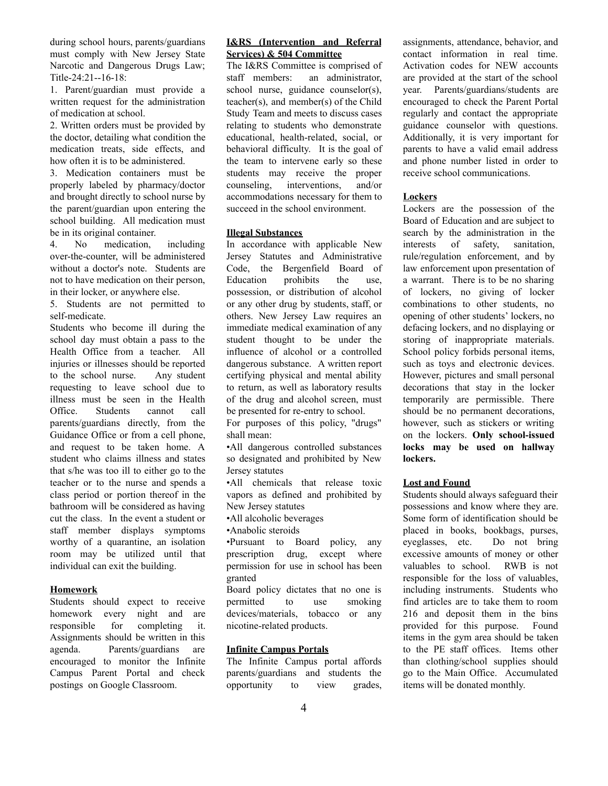during school hours, parents/guardians must comply with New Jersey State Narcotic and Dangerous Drugs Law; Title-24:21--16-18:

1. Parent/guardian must provide a written request for the administration of medication at school.

2. Written orders must be provided by the doctor, detailing what condition the medication treats, side effects, and how often it is to be administered.

3. Medication containers must be properly labeled by pharmacy/doctor and brought directly to school nurse by the parent/guardian upon entering the school building. All medication must be in its original container.

4. No medication, including over-the-counter, will be administered without a doctor's note. Students are not to have medication on their person, in their locker, or anywhere else.

5. Students are not permitted to self-medicate.

Students who become ill during the school day must obtain a pass to the Health Office from a teacher. All injuries or illnesses should be reported to the school nurse. Any student requesting to leave school due to illness must be seen in the Health Office. Students cannot call parents/guardians directly, from the Guidance Office or from a cell phone, and request to be taken home. A student who claims illness and states that s/he was too ill to either go to the teacher or to the nurse and spends a class period or portion thereof in the bathroom will be considered as having cut the class. In the event a student or staff member displays symptoms worthy of a quarantine, an isolation room may be utilized until that individual can exit the building.

## **Homework**

Students should expect to receive homework every night and are responsible for completing it. Assignments should be written in this agenda. Parents/guardians are encouraged to monitor the Infinite Campus Parent Portal and check postings on Google Classroom.

## **I&RS (Intervention and Referral Services) & 504 Committee**

The I&RS Committee is comprised of staff members: an administrator, school nurse, guidance counselor(s), teacher(s), and member(s) of the Child Study Team and meets to discuss cases relating to students who demonstrate educational, health-related, social, or behavioral difficulty. It is the goal of the team to intervene early so these students may receive the proper counseling, interventions, and/or accommodations necessary for them to succeed in the school environment.

## **Illegal Substances**

In accordance with applicable New Jersey Statutes and Administrative Code, the Bergenfield Board of Education prohibits the use, possession, or distribution of alcohol or any other drug by students, staff, or others. New Jersey Law requires an immediate medical examination of any student thought to be under the influence of alcohol or a controlled dangerous substance. A written report certifying physical and mental ability to return, as well as laboratory results of the drug and alcohol screen, must be presented for re-entry to school.

For purposes of this policy, "drugs" shall mean:

•All dangerous controlled substances so designated and prohibited by New Jersey statutes

•All chemicals that release toxic vapors as defined and prohibited by New Jersey statutes

•All alcoholic beverages

•Anabolic steroids

•Pursuant to Board policy, any prescription drug, except where permission for use in school has been granted

Board policy dictates that no one is permitted to use smoking devices/materials, tobacco or any nicotine-related products.

## **Infinite Campus Portals**

The Infinite Campus portal affords parents/guardians and students the opportunity to view grades, assignments, attendance, behavior, and contact information in real time. Activation codes for NEW accounts are provided at the start of the school year. Parents/guardians/students are encouraged to check the Parent Portal regularly and contact the appropriate guidance counselor with questions. Additionally, it is very important for parents to have a valid email address and phone number listed in order to receive school communications.

#### **Lockers**

Lockers are the possession of the Board of Education and are subject to search by the administration in the interests of safety, sanitation, rule/regulation enforcement, and by law enforcement upon presentation of a warrant. There is to be no sharing of lockers, no giving of locker combinations to other students, no opening of other students' lockers, no defacing lockers, and no displaying or storing of inappropriate materials. School policy forbids personal items, such as toys and electronic devices. However, pictures and small personal decorations that stay in the locker temporarily are permissible. There should be no permanent decorations, however, such as stickers or writing on the lockers. **Only school-issued locks may be used on hallway lockers.**

#### **Lost and Found**

Students should always safeguard their possessions and know where they are. Some form of identification should be placed in books, bookbags, purses, eyeglasses, etc. Do not bring excessive amounts of money or other valuables to school. RWB is not responsible for the loss of valuables, including instruments. Students who find articles are to take them to room 216 and deposit them in the bins provided for this purpose. Found items in the gym area should be taken to the PE staff offices. Items other than clothing/school supplies should go to the Main Office. Accumulated items will be donated monthly.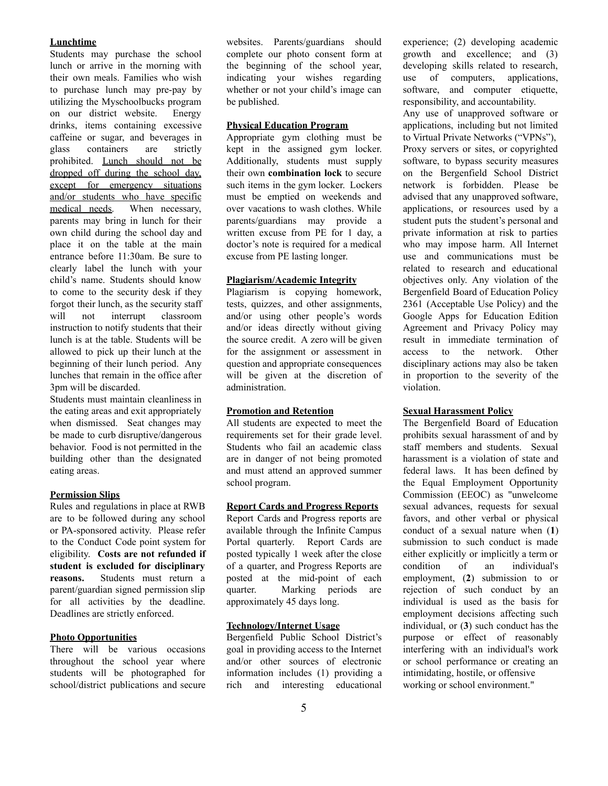#### **Lunchtime**

Students may purchase the school lunch or arrive in the morning with their own meals. Families who wish to purchase lunch may pre-pay by utilizing the Myschoolbucks program on our district website. Energy drinks, items containing excessive caffeine or sugar, and beverages in glass containers are strictly prohibited. Lunch should not be dropped off during the school day, except for emergency situations and/or students who have specific medical needs. When necessary, parents may bring in lunch for their own child during the school day and place it on the table at the main entrance before 11:30am. Be sure to clearly label the lunch with your child's name. Students should know to come to the security desk if they forgot their lunch, as the security staff will not interrupt classroom instruction to notify students that their lunch is at the table. Students will be allowed to pick up their lunch at the beginning of their lunch period. Any lunches that remain in the office after 3pm will be discarded.

Students must maintain cleanliness in the eating areas and exit appropriately when dismissed. Seat changes may be made to curb disruptive/dangerous behavior. Food is not permitted in the building other than the designated eating areas.

#### **Permission Slips**

Rules and regulations in place at RWB are to be followed during any school or PA-sponsored activity. Please refer to the Conduct Code point system for eligibility. **Costs are not refunded if student is excluded for disciplinary reasons.** Students must return a parent/guardian signed permission slip for all activities by the deadline. Deadlines are strictly enforced.

## **Photo Opportunities**

There will be various occasions throughout the school year where students will be photographed for school/district publications and secure websites. Parents/guardians should complete our photo consent form at the beginning of the school year, indicating your wishes regarding whether or not your child's image can be published.

## **Physical Education Program**

Appropriate gym clothing must be kept in the assigned gym locker. Additionally, students must supply their own **combination lock** to secure such items in the gym locker. Lockers must be emptied on weekends and over vacations to wash clothes. While parents/guardians may provide a written excuse from PE for 1 day, a doctor's note is required for a medical excuse from PE lasting longer.

#### **Plagiarism/Academic Integrity**

Plagiarism is copying homework, tests, quizzes, and other assignments, and/or using other people's words and/or ideas directly without giving the source credit. A zero will be given for the assignment or assessment in question and appropriate consequences will be given at the discretion of administration.

#### **Promotion and Retention**

All students are expected to meet the requirements set for their grade level. Students who fail an academic class are in danger of not being promoted and must attend an approved summer school program.

## **Report Cards and Progress Reports**

Report Cards and Progress reports are available through the Infinite Campus Portal quarterly. Report Cards are posted typically 1 week after the close of a quarter, and Progress Reports are posted at the mid-point of each quarter. Marking periods are approximately 45 days long.

#### **Technology/Internet Usage**

Bergenfield Public School District's goal in providing access to the Internet and/or other sources of electronic information includes (1) providing a rich and interesting educational experience; (2) developing academic growth and excellence; and (3) developing skills related to research, use of computers, applications, software, and computer etiquette, responsibility, and accountability.

Any use of unapproved software or applications, including but not limited to Virtual Private Networks ("VPNs"), Proxy servers or sites, or copyrighted software, to bypass security measures on the Bergenfield School District network is forbidden. Please be advised that any unapproved software, applications, or resources used by a student puts the student's personal and private information at risk to parties who may impose harm. All Internet use and communications must be related to research and educational objectives only. Any violation of the Bergenfield Board of Education Policy 2361 (Acceptable Use Policy) and the Google Apps for Education Edition Agreement and Privacy Policy may result in immediate termination of access to the network. Other disciplinary actions may also be taken in proportion to the severity of the violation.

#### **Sexual Harassment Policy**

The Bergenfield Board of Education prohibits sexual harassment of and by staff members and students. Sexual harassment is a violation of state and federal laws. It has been defined by the Equal Employment Opportunity Commission (EEOC) as "unwelcome sexual advances, requests for sexual favors, and other verbal or physical conduct of a sexual nature when (**1**) submission to such conduct is made either explicitly or implicitly a term or condition of an individual's employment, (**2**) submission to or rejection of such conduct by an individual is used as the basis for employment decisions affecting such individual, or (**3**) such conduct has the purpose or effect of reasonably interfering with an individual's work or school performance or creating an intimidating, hostile, or offensive working or school environment."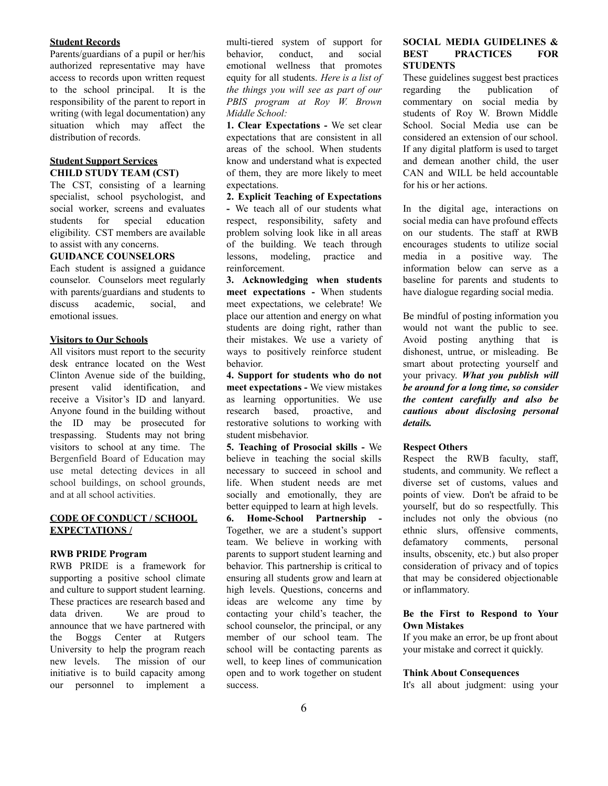#### **Student Records**

Parents/guardians of a pupil or her/his authorized representative may have access to records upon written request to the school principal. It is the responsibility of the parent to report in writing (with legal documentation) any situation which may affect the distribution of records.

#### **Student Support Services CHILD STUDY TEAM (CST)**

The CST, consisting of a learning specialist, school psychologist, and social worker, screens and evaluates students for special education eligibility. CST members are available to assist with any concerns.

## **GUIDANCE COUNSELORS**

Each student is assigned a guidance counselor. Counselors meet regularly with parents/guardians and students to discuss academic, social, and emotional issues.

## **Visitors to Our Schools**

All visitors must report to the security desk entrance located on the West Clinton Avenue side of the building, present valid identification, and receive a Visitor's ID and lanyard. Anyone found in the building without the ID may be prosecuted for trespassing. Students may not bring visitors to school at any time. The Bergenfield Board of Education may use metal detecting devices in all school buildings, on school grounds, and at all school activities.

## **CODE OF CONDUCT / SCHOOL EXPECTATIONS /**

## **RWB PRIDE Program**

RWB PRIDE is a framework for supporting a positive school climate and culture to support student learning. These practices are research based and data driven. We are proud to announce that we have partnered with the Boggs Center at Rutgers University to help the program reach new levels. The mission of our initiative is to build capacity among our personnel to implement a multi-tiered system of support for behavior, conduct, and social emotional wellness that promotes equity for all students. *Here is a list of the things you will see as part of our PBIS program at Roy W. Brown Middle School:*

**1. Clear Expectations -** We set clear expectations that are consistent in all areas of the school. When students know and understand what is expected of them, they are more likely to meet expectations.

## **2. Explicit Teaching of Expectations -** We teach all of our students what respect, responsibility, safety and problem solving look like in all areas of the building. We teach through lessons, modeling, practice and reinforcement.

**3. Acknowledging when students meet expectations -** When students meet expectations, we celebrate! We place our attention and energy on what students are doing right, rather than their mistakes. We use a variety of ways to positively reinforce student behavior.

**4. Support for students who do not meet expectations -** We view mistakes as learning opportunities. We use research based, proactive, and restorative solutions to working with student misbehavior.

**5. Teaching of Prosocial skills -** We believe in teaching the social skills necessary to succeed in school and life. When student needs are met socially and emotionally, they are better equipped to learn at high levels.

**6. Home-School Partnership -** Together, we are a student's support team. We believe in working with parents to support student learning and behavior. This partnership is critical to ensuring all students grow and learn at high levels. Questions, concerns and ideas are welcome any time by contacting your child's teacher, the school counselor, the principal, or any member of our school team. The school will be contacting parents as well, to keep lines of communication open and to work together on student success.

#### **SOCIAL MEDIA GUIDELINES & BEST PRACTICES FOR STUDENTS**

These guidelines suggest best practices regarding the publication of commentary on social media by students of Roy W. Brown Middle School. Social Media use can be considered an extension of our school. If any digital platform is used to target and demean another child, the user CAN and WILL be held accountable for his or her actions.

In the digital age, interactions on social media can have profound effects on our students. The staff at RWB encourages students to utilize social media in a positive way. The information below can serve as a baseline for parents and students to have dialogue regarding social media.

Be mindful of posting information you would not want the public to see. Avoid posting anything that is dishonest, untrue, or misleading. Be smart about protecting yourself and your privacy. *What you publish will be around for a long time, so consider the content carefully and also be cautious about disclosing personal details.*

## **Respect Others**

Respect the RWB faculty, staff, students, and community. We reflect a diverse set of customs, values and points of view. Don't be afraid to be yourself, but do so respectfully. This includes not only the obvious (no ethnic slurs, offensive comments, defamatory comments, personal insults, obscenity, etc.) but also proper consideration of privacy and of topics that may be considered objectionable or inflammatory.

## **Be the First to Respond to Your Own Mistakes**

If you make an error, be up front about your mistake and correct it quickly.

#### **Think About Consequences**

It's all about judgment: using your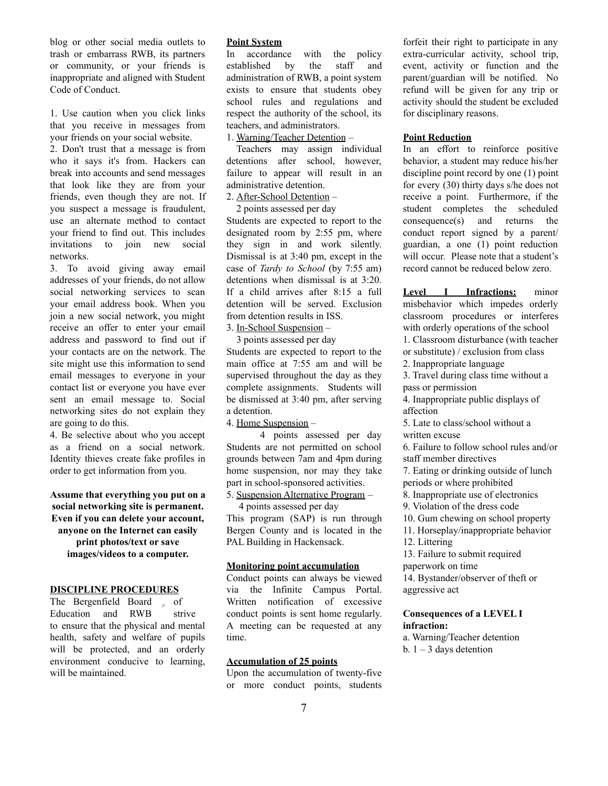blog or other social media outlets to trash or embarrass RWB, its partners or community, or your friends is inappropriate and aligned with Student Code of Conduct.

1. Use caution when you click links that you receive in messages from your friends on your social website.

2. Don't trust that a message is from who it says it's from. Hackers can break into accounts and send messages that look like they are from your friends, even though they are not. If you suspect a message is fraudulent, use an alternate method to contact your friend to find out. This includes invitations to join new social networks.

3. To avoid giving away email addresses of your friends, do not allow social networking services to scan your email address book. When you join a new social network, you might receive an offer to enter your email address and password to find out if your contacts are on the network. The site might use this information to send email messages to everyone in your contact list or everyone you have ever sent an email message to. Social networking sites do not explain they are going to do this.

4. Be selective about who you accept as a friend on a social network. Identity thieves create fake profiles in order to get information from you.

**Assume that everything you put on a social networking site is permanent. Even if you can delete your account, anyone on the Internet can easily print photos/text or save images/videos to a computer.**

#### **DISCIPLINE PROCEDURES**

The Bergenfield Board of Education and RWB strive to ensure that the physical and mental health, safety and welfare of pupils will be protected, and an orderly environment conducive to learning, will be maintained.

#### **Point System**

In accordance with the policy established by the staff and administration of RWB, a point system exists to ensure that students obey school rules and regulations and respect the authority of the school, its teachers, and administrators.

1. Warning/Teacher Detention –

Teachers may assign individual detentions after school, however, failure to appear will result in an administrative detention.

2. After-School Detention – 2 points assessed per day

Students are expected to report to the designated room by 2:55 pm, where they sign in and work silently. Dismissal is at 3:40 pm, except in the case of *Tardy to School* (by 7:55 am) detentions when dismissal is at 3:20. If a child arrives after 8:15 a full detention will be served. Exclusion from detention results in ISS.

3. In-School Suspension –

3 points assessed per day Students are expected to report to the main office at 7:55 am and will be supervised throughout the day as they complete assignments. Students will be dismissed at 3:40 pm, after serving a detention.

4. Home Suspension –

4 points assessed per day Students are not permitted on school grounds between 7am and 4pm during home suspension, nor may they take part in school-sponsored activities.

5. Suspension Alternative Program – 4 points assessed per day This program (SAP) is run through

Bergen County and is located in the PAL Building in Hackensack.

#### **Monitoring point accumulation**

Conduct points can always be viewed via the Infinite Campus Portal. Written notification of excessive conduct points is sent home regularly. A meeting can be requested at any time.

## **Accumulation of 25 points**

Upon the accumulation of twenty-five or more conduct points, students

forfeit their right to participate in any extra-curricular activity, school trip, event, activity or function and the parent/guardian will be notified. No refund will be given for any trip or activity should the student be excluded for disciplinary reasons.

#### **Point Reduction**

In an effort to reinforce positive behavior, a student may reduce his/her discipline point record by one (1) point for every (30) thirty days s/he does not receive a point. Furthermore, if the student completes the scheduled consequence(s) and returns the conduct report signed by a parent/ guardian, a one (1) point reduction will occur. Please note that a student's record cannot be reduced below zero.

**Level I Infractions:** minor misbehavior which impedes orderly classroom procedures or interferes with orderly operations of the school 1. Classroom disturbance (with teacher or substitute) / exclusion from class 2. Inappropriate language 3. Travel during class time without a pass or permission 4. Inappropriate public displays of affection 5. Late to class/school without a

written excuse

6. Failure to follow school rules and/or staff member directives

7. Eating or drinking outside of lunch periods or where prohibited

8. Inappropriate use of electronics

9. Violation of the dress code

10. Gum chewing on school property

11. Horseplay/inappropriate behavior

12. Littering

13. Failure to submit required

paperwork on time

14. Bystander/observer of theft or aggressive act

## **Consequences of a LEVEL I infraction:**

a. Warning/Teacher detention b.  $1 - 3$  days detention